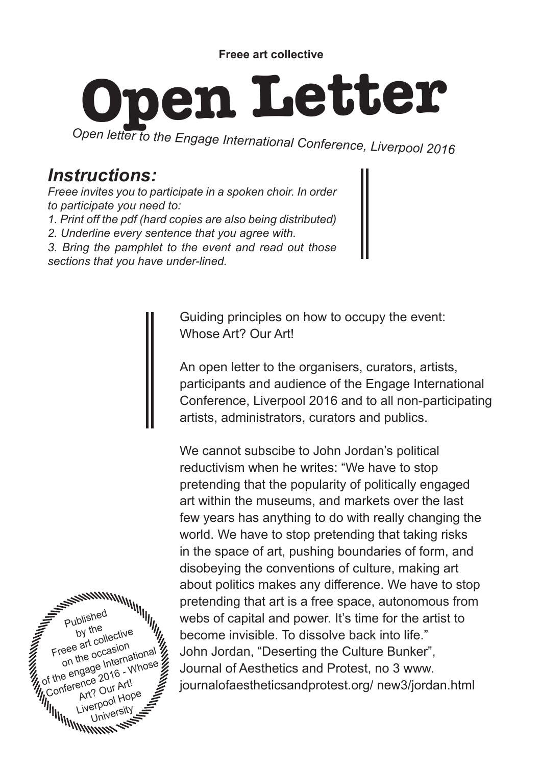## **Open Letter**

*Open letter to the Engage International Conference, Liverpool 2016*

## *Instructions:*

*Freee invites you to participate in a spoken choir. In order to participate you need to:*

*1. Print off the pdf (hard copies are also being distributed)* 

*2. Underline every sentence that you agree with.* 

*3. Bring the pamphlet to the event and read out those* 

*sections that you have under-lined.*

Guiding principles on how to occupy the event: Whose Art? Our Art!

An open letter to the organisers, curators, artists, participants and audience of the Engage International Conference, Liverpool 2016 and to all non-participating artists, administrators, curators and publics.

We cannot subscibe to John Jordan's political reductivism when he writes: "We have to stop pretending that the popularity of politically engaged art within the museums, and markets over the last few years has anything to do with really changing the world. We have to stop pretending that taking risks in the space of art, pushing boundaries of form, and disobeying the conventions of culture, making art about politics makes any difference. We have to stop pretending that art is a free space, autonomous from webs of capital and power. It's time for the artist to become invisible. To dissolve back into life." John Jordan, "Deserting the Culture Bunker", Journal of Aesthetics and Protest, no 3 www. journalofaestheticsandprotest.org/ new3/jordan.html

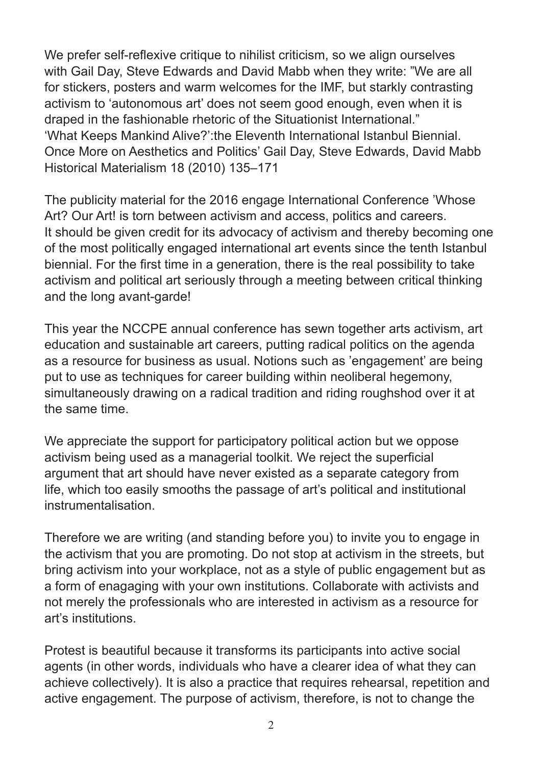We prefer self-reflexive critique to nihilist criticism, so we align ourselves with Gail Day, Steve Edwards and David Mabb when they write: "We are all for stickers, posters and warm welcomes for the IMF, but starkly contrasting activism to 'autonomous art' does not seem good enough, even when it is draped in the fashionable rhetoric of the Situationist International." 'What Keeps Mankind Alive?':the Eleventh International Istanbul Biennial. Once More on Aesthetics and Politics' Gail Day, Steve Edwards, David Mabb Historical Materialism 18 (2010) 135–171

The publicity material for the 2016 engage International Conference 'Whose Art? Our Art! is torn between activism and access, politics and careers. It should be given credit for its advocacy of activism and thereby becoming one of the most politically engaged international art events since the tenth Istanbul biennial. For the first time in a generation, there is the real possibility to take activism and political art seriously through a meeting between critical thinking and the long avant-garde!

This year the NCCPE annual conference has sewn together arts activism, art education and sustainable art careers, putting radical politics on the agenda as a resource for business as usual. Notions such as 'engagement' are being put to use as techniques for career building within neoliberal hegemony, simultaneously drawing on a radical tradition and riding roughshod over it at the same time.

We appreciate the support for participatory political action but we oppose activism being used as a managerial toolkit. We reject the superficial argument that art should have never existed as a separate category from life, which too easily smooths the passage of art's political and institutional instrumentalisation.

Therefore we are writing (and standing before you) to invite you to engage in the activism that you are promoting. Do not stop at activism in the streets, but bring activism into your workplace, not as a style of public engagement but as a form of enagaging with your own institutions. Collaborate with activists and not merely the professionals who are interested in activism as a resource for art's institutions.

Protest is beautiful because it transforms its participants into active social agents (in other words, individuals who have a clearer idea of what they can achieve collectively). It is also a practice that requires rehearsal, repetition and active engagement. The purpose of activism, therefore, is not to change the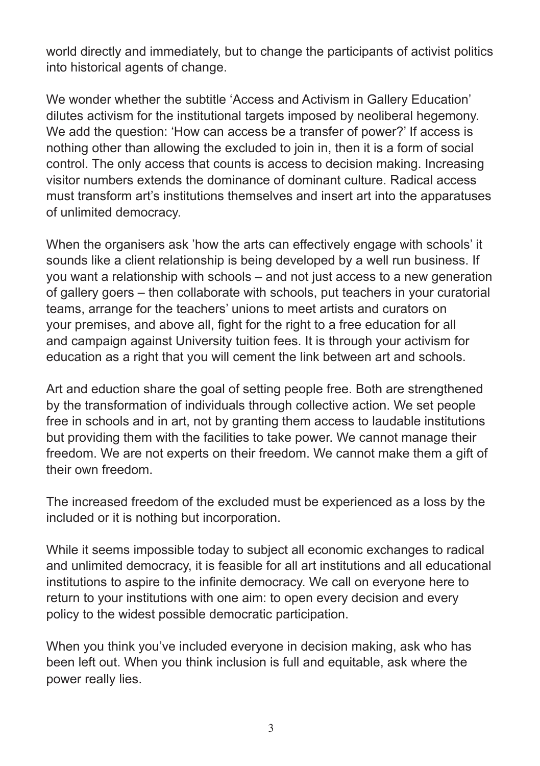world directly and immediately, but to change the participants of activist politics into historical agents of change.

We wonder whether the subtitle 'Access and Activism in Gallery Education' dilutes activism for the institutional targets imposed by neoliberal hegemony. We add the question: 'How can access be a transfer of power?' If access is nothing other than allowing the excluded to join in, then it is a form of social control. The only access that counts is access to decision making. Increasing visitor numbers extends the dominance of dominant culture. Radical access must transform art's institutions themselves and insert art into the apparatuses of unlimited democracy.

When the organisers ask 'how the arts can effectively engage with schools' it sounds like a client relationship is being developed by a well run business. If you want a relationship with schools – and not just access to a new generation of gallery goers – then collaborate with schools, put teachers in your curatorial teams, arrange for the teachers' unions to meet artists and curators on your premises, and above all, fight for the right to a free education for all and campaign against University tuition fees. It is through your activism for education as a right that you will cement the link between art and schools.

Art and eduction share the goal of setting people free. Both are strengthened by the transformation of individuals through collective action. We set people free in schools and in art, not by granting them access to laudable institutions but providing them with the facilities to take power. We cannot manage their freedom. We are not experts on their freedom. We cannot make them a gift of their own freedom.

The increased freedom of the excluded must be experienced as a loss by the included or it is nothing but incorporation.

While it seems impossible today to subject all economic exchanges to radical and unlimited democracy, it is feasible for all art institutions and all educational institutions to aspire to the infinite democracy. We call on everyone here to return to your institutions with one aim: to open every decision and every policy to the widest possible democratic participation.

When you think you've included everyone in decision making, ask who has been left out. When you think inclusion is full and equitable, ask where the power really lies.